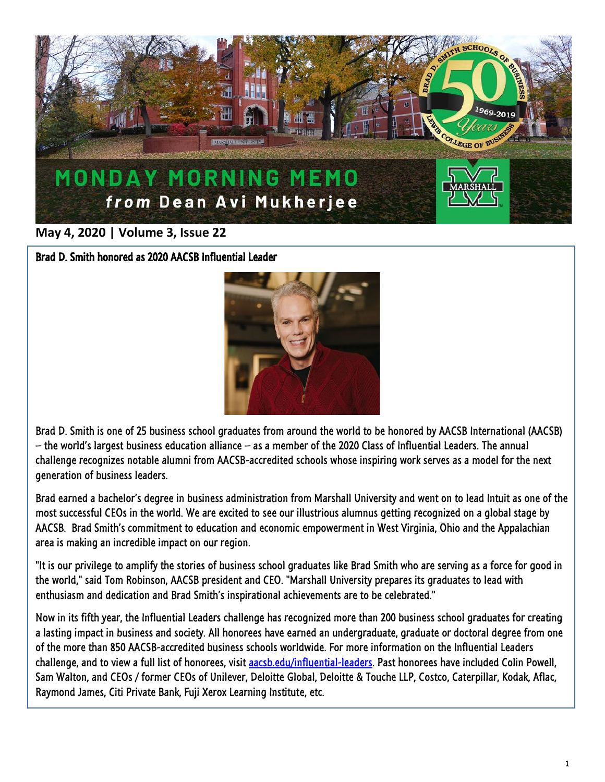

## **May 4, 2020 | Volume 3, Issue 22**

Brad D. Smith honored as 2020 AACSB Influential Leader



Brad D. Smith is one of 25 business school graduates from around the world to be honored by AACSB International (AACSB) – the world's largest business education alliance – as a member of the 2020 Class of Influential Leaders. The annual challenge recognizes notable alumni from AACSB-accredited schools whose inspiring work serves as a model for the next generation of business leaders.

Brad earned a bachelor's degree in business administration from Marshall University and went on to lead Intuit as one of the most successful CEOs in the world. We are excited to see our illustrious alumnus getting recognized on a global stage by AACSB. Brad Smith's commitment to education and economic empowerment in West Virginia, Ohio and the Appalachian area is making an incredible impact on our region.

"It is our privilege to amplify the stories of business school graduates like Brad Smith who are serving as a force for good in the world," said Tom Robinson, AACSB president and CEO. "Marshall University prepares its graduates to lead with enthusiasm and dedication and Brad Smith's inspirational achievements are to be celebrated."

Now in its fifth year, the Influential Leaders challenge has recognized more than 200 business school graduates for creating a lasting impact in business and society. All honorees have earned an undergraduate, graduate or doctoral degree from one of the more than 850 AACSB-accredited business schools worldwide. For more information on the Influential Leaders challenge, and to view a full list of honorees, visit [aacsb.edu/influential-leaders.](http://www.aacsb.edu/influential-leaders) Past honorees have included Colin Powell, Sam Walton, and CEOs / former CEOs of Unilever, Deloitte Global, Deloitte & Touche LLP, Costco, Caterpillar, Kodak, Aflac, Raymond James, Citi Private Bank, Fuji Xerox Learning Institute, etc.